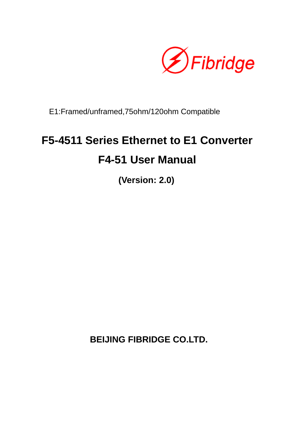

E1:Framed/unframed,75ohm/120ohm Compatible

# **F5-4511 Series Ethernet to E1 Converter F4-51 User Manual**

**(Version: 2.0)** 

**BEIJING FIBRIDGE CO.LTD.**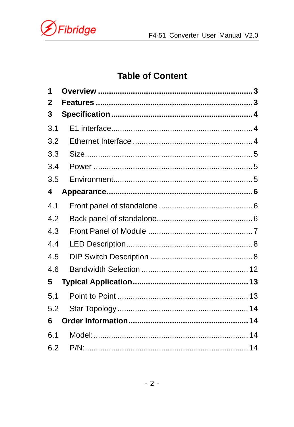

### **Table of Content**

| 1   |  |
|-----|--|
| 2   |  |
| 3   |  |
| 3.1 |  |
| 3.2 |  |
| 3.3 |  |
| 3.4 |  |
| 3.5 |  |
| 4   |  |
| 4.1 |  |
| 4.2 |  |
| 4.3 |  |
| 4.4 |  |
| 4.5 |  |
| 4.6 |  |
| 5   |  |
| 5.1 |  |
| 5.2 |  |
| 6   |  |
| 6.1 |  |
| 6.2 |  |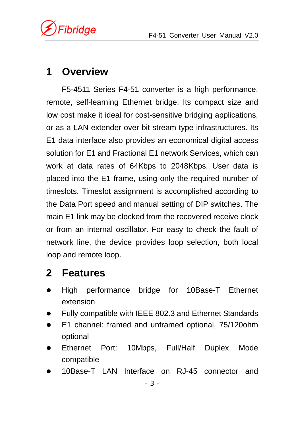*ibridge* 

# **1 Overview**

F5-4511 Series F4-51 converter is a high performance, remote, self-learning Ethernet bridge. Its compact size and low cost make it ideal for cost-sensitive bridging applications, or as a LAN extender over bit stream type infrastructures. Its E1 data interface also provides an economical digital access solution for E1 and Fractional E1 network Services, which can work at data rates of 64Kbps to 2048Kbps. User data is placed into the E1 frame, using only the required number of timeslots. Timeslot assignment is accomplished according to the Data Port speed and manual setting of DIP switches. The main E1 link may be clocked from the recovered receive clock or from an internal oscillator. For easy to check the fault of network line, the device provides loop selection, both local loop and remote loop.

# **2 Features**

- High performance bridge for 10Base-T Ethernet extension
- Fully compatible with IEEE 802.3 and Ethernet Standards
- E1 channel: framed and unframed optional, 75/120ohm optional
- Ethernet Port: 10Mbps, Full/Half Duplex Mode compatible
- 10Base-T LAN Interface on RJ-45 connector and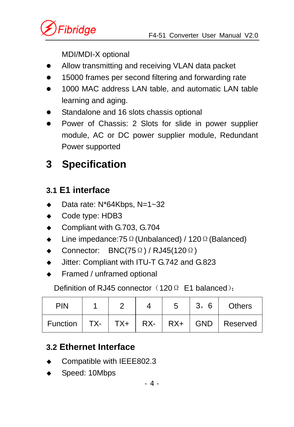

MDI/MDI-X optional

- Allow transmitting and receiving VLAN data packet
- 15000 frames per second filtering and forwarding rate
- 1000 MAC address LAN table, and automatic LAN table learning and aging.
- Standalone and 16 slots chassis optional
- Power of Chassis: 2 Slots for slide in power supplier module, AC or DC power supplier module, Redundant Power supported

# **3 Specification**

# **3.1 E1 interface**

- $\bullet$  Data rate: N\*64Kbps, N=1~32
- ◆ Code type: HDB3
- ◆ Compliant with G.703, G.704
- Line impedance:75Ω(Unbalanced) / 120Ω(Balanced)
- $\bullet$  Connector: BNC(75Ω) / RJ45(120Ω)
- Jitter: Compliant with ITU-T G.742 and G.823
- Framed / unframed optional

Definition of RJ45 connector (120Ω E1 balanced):

| <b>PIN</b> |  | 5 | 3,6 | <b>Others</b>                                                                         |
|------------|--|---|-----|---------------------------------------------------------------------------------------|
|            |  |   |     | Function $\vert$ TX- $\vert$ TX+ $\vert$ RX- $\vert$ RX+ $\vert$ GND $\vert$ Reserved |

# **3.2 Ethernet Interface**

- Compatible with IEEE802.3
- Speed: 10Mbps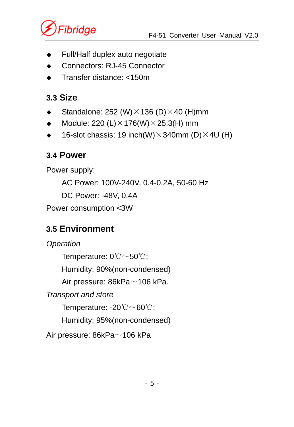

- Full/Half duplex auto negotiate
- Connectors: RJ-45 Connector
- Transfer distance: <150m

### **3.3 Size**

- Standalone: 252 (W) $\times$ 136 (D) $\times$ 40 (H)mm
- $\blacklozenge$  Module: 220 (L) $\times$ 176(W) $\times$ 25.3(H) mm
- $\bullet$  16-slot chassis: 19 inch(W)  $\times$  340mm (D)  $\times$  4U (H)

### **3.4 Power**

Power supply:

AC Power: 100V-240V, 0.4-0.2A, 50-60 Hz

DC Power: -48V, 0.4A

Power consumption <3W

# **3.5 Environment**

*Operation*  Temperature: 0℃~50℃; Humidity: 90%(non-condensed) Air pressure: 86kPa~106 kPa. *Transport and store*  Temperature: -20℃~60℃; Humidity: 95%(non-condensed) Air pressure: 86kPa~106 kPa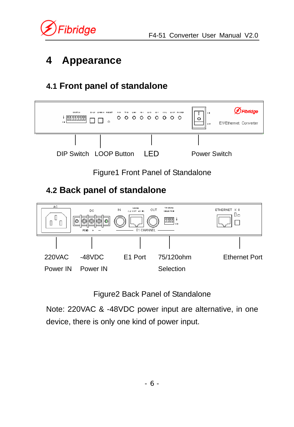

*<u>Fibridge</u>* 

# **4 Appearance**

# **4.1 Front panel of standalone**



Figure2 Back Panel of Standalone

Note: 220VAC & -48VDC power input are alternative, in one device, there is only one kind of power input.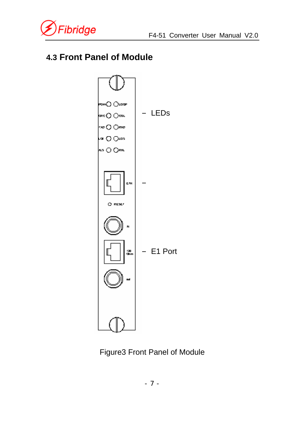

### **4.3 Front Panel of Module**



Figure3 Front Panel of Module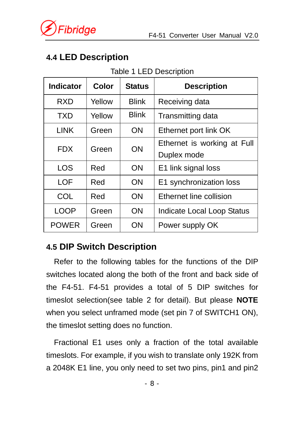# **4.4 LED Description**

#### Table 1 LED Description

| <b>Indicator</b> | <b>Color</b> | <b>Status</b> | <b>Description</b>          |
|------------------|--------------|---------------|-----------------------------|
| <b>RXD</b>       | Yellow       | <b>Blink</b>  | Receiving data              |
| TXD              | Yellow       | <b>Blink</b>  | Transmitting data           |
| <b>LINK</b>      | Green        | ON            | Ethernet port link OK       |
| FDX.             | Green        | ON            | Ethernet is working at Full |
|                  |              |               | Duplex mode                 |
| <b>LOS</b>       | Red          | ON            | E1 link signal loss         |
| LOF              | Red          | ON            | E1 synchronization loss     |
| COL              | Red          | ON            | Ethernet line collision     |
| LOOP             | Green        | <b>ON</b>     | Indicate Local Loop Status  |
| <b>POWER</b>     | Green        | ON            | Power supply OK             |

### **4.5 DIP Switch Description**

Refer to the following tables for the functions of the DIP switches located along the both of the front and back side of the F4-51. F4-51 provides a total of 5 DIP switches for timeslot selection(see table 2 for detail). But please **NOTE**  when you select unframed mode (set pin 7 of SWITCH1 ON), the timeslot setting does no function.

Fractional E1 uses only a fraction of the total available timeslots. For example, if you wish to translate only 192K from a 2048K E1 line, you only need to set two pins, pin1 and pin2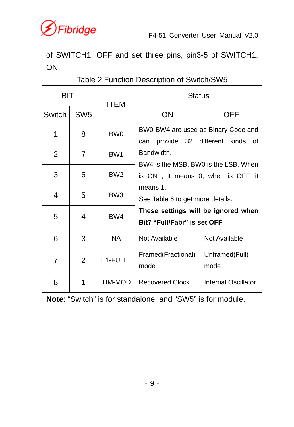

of SWITCH1, OFF and set three pins, pin3-5 of SWITCH1, ON.

| <b>BIT</b>     |                 | ITEM            | <b>Status</b>                                                              |                        |  |  |
|----------------|-----------------|-----------------|----------------------------------------------------------------------------|------------------------|--|--|
| Switch         | SW <sub>5</sub> |                 | ΟN                                                                         | OFF                    |  |  |
| 1              | 8               | BW <sub>0</sub> | BW0-BW4 are used as Binary Code and<br>provide 32 different<br>can         | kinds of               |  |  |
| $\overline{2}$ | 7               | BW <sub>1</sub> | Bandwidth.                                                                 |                        |  |  |
| 3              | 6               | BW <sub>2</sub> | BW4 is the MSB, BW0 is the LSB. When<br>is ON, it means 0, when is OFF, it |                        |  |  |
| 4              | 5               | BW <sub>3</sub> | means 1.<br>See Table 6 to get more details.                               |                        |  |  |
| 5              | 4               | BW4             | These settings will be ignored when<br>Bit7 "Full/Fabr" is set OFF.        |                        |  |  |
| 6              | 3               | NA.             | Not Available                                                              | Not Available          |  |  |
| 7              | 2               | E1-FULL         | Framed(Fractional)<br>mode                                                 | Unframed(Full)<br>mode |  |  |
| 8              | 1               | TIM-MOD         | <b>Recovered Clock</b>                                                     | Internal Oscillator    |  |  |

### Table 2 Function Description of Switch/SW5

**Note**: "Switch" is for standalone, and "SW5" is for module.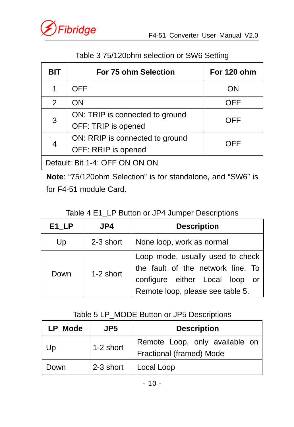

| <b>BIT</b>                     | <b>For 75 ohm Selection</b>     | For 120 ohm |  |  |  |  |
|--------------------------------|---------------------------------|-------------|--|--|--|--|
|                                | <b>OFF</b>                      | ON          |  |  |  |  |
| 2                              | ON                              | OFF         |  |  |  |  |
| 3                              | ON: TRIP is connected to ground | OFF         |  |  |  |  |
|                                | OFF: TRIP is opened             |             |  |  |  |  |
| 4                              | ON: RRIP is connected to ground | <b>OFF</b>  |  |  |  |  |
|                                | OFF: RRIP is opened             |             |  |  |  |  |
| Default: Bit 1-4: OFF ON ON ON |                                 |             |  |  |  |  |

Table 3 75/120ohm selection or SW6 Setting

**Note**: "75/120ohm Selection" is for standalone, and "SW6" is for F4-51 module Card.

Table 4 E1\_LP Button or JP4 Jumper Descriptions

| E1 LP | JP4       | <b>Description</b>                                                                                                                          |  |  |  |
|-------|-----------|---------------------------------------------------------------------------------------------------------------------------------------------|--|--|--|
| Up    | 2-3 short | None loop, work as normal                                                                                                                   |  |  |  |
| Down  | 1-2 short | Loop mode, usually used to check<br>the fault of the network line. To<br>configure either Local loop or<br>Remote loop, please see table 5. |  |  |  |

### Table 5 LP\_MODE Button or JP5 Descriptions

| LP Mode | JP5       | <b>Description</b>                                         |
|---------|-----------|------------------------------------------------------------|
| Up      | 1-2 short | Remote Loop, only available on<br>Fractional (framed) Mode |
| Down    | 2-3 short | Local Loop                                                 |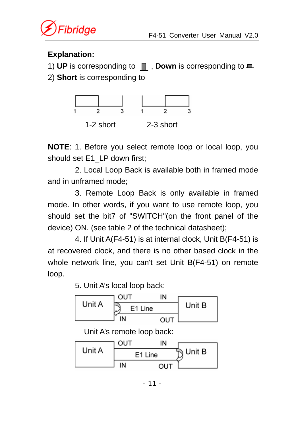

### **Explanation:**

1) UP is corresponding to  $\blacksquare$ , **Down** is corresponding to  $\blacksquare$ 

2) **Short** is corresponding to



**NOTE**: 1. Before you select remote loop or local loop, you should set E1\_LP down first;

2. Local Loop Back is available both in framed mode and in unframed mode;

3. Remote Loop Back is only available in framed mode. In other words, if you want to use remote loop, you should set the bit7 of "SWITCH"(on the front panel of the device) ON. (see table 2 of the technical datasheet);

4. If Unit A(F4-51) is at internal clock, Unit B(F4-51) is at recovered clock, and there is no other based clock in the whole network line, you can't set Unit B(F4-51) on remote loop.

5. Unit A's local loop back:



Unit A's remote loop back:

|        | OUT     | ΙN         |        |
|--------|---------|------------|--------|
| Unit A | E1 Line |            | Unit B |
|        | IN      | <b>OUT</b> |        |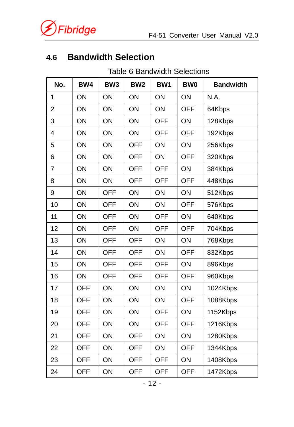

# **4.6 Bandwidth Selection**

Table 6 Bandwidth Selections

| No.            | BW4        | BW <sub>3</sub> | BW <sub>2</sub> | BW1        | <b>BW0</b> | <b>Bandwidth</b> |
|----------------|------------|-----------------|-----------------|------------|------------|------------------|
| 1              | ON         | ON              | ON              | ON         | ON         | N.A.             |
| $\overline{2}$ | ON         | ON              | ON              | ON         | <b>OFF</b> | 64Kbps           |
| 3              | ON         | ON              | ON              | <b>OFF</b> | ON         | 128Kbps          |
| 4              | ON         | ON              | ON              | <b>OFF</b> | <b>OFF</b> | 192Kbps          |
| 5              | ON         | ON              | <b>OFF</b>      | ON         | ON         | 256Kbps          |
| 6              | ON         | ON              | <b>OFF</b>      | ON         | <b>OFF</b> | 320Kbps          |
| $\overline{7}$ | ON         | ON              | <b>OFF</b>      | <b>OFF</b> | ON         | 384Kbps          |
| 8              | ON         | ON              | <b>OFF</b>      | <b>OFF</b> | <b>OFF</b> | 448Kbps          |
| 9              | ON         | <b>OFF</b>      | ON              | ON         | ON         | 512Kbps          |
| 10             | ON         | <b>OFF</b>      | ON              | ON         | <b>OFF</b> | 576Kbps          |
| 11             | ON         | <b>OFF</b>      | ON              | <b>OFF</b> | ON         | 640Kbps          |
| 12             | ON         | <b>OFF</b>      | ON              | <b>OFF</b> | <b>OFF</b> | 704Kbps          |
| 13             | ON         | <b>OFF</b>      | <b>OFF</b>      | ON         | ON         | 768Kbps          |
| 14             | ON         | <b>OFF</b>      | <b>OFF</b>      | ON         | <b>OFF</b> | 832Kbps          |
| 15             | ON         | <b>OFF</b>      | <b>OFF</b>      | <b>OFF</b> | ON         | 896Kbps          |
| 16             | ON         | <b>OFF</b>      | <b>OFF</b>      | <b>OFF</b> | <b>OFF</b> | 960Kbps          |
| 17             | <b>OFF</b> | ON              | ON              | ON         | ON         | 1024Kbps         |
| 18             | <b>OFF</b> | ON              | ON              | ON         | <b>OFF</b> | 1088Kbps         |
| 19             | <b>OFF</b> | ON              | ON              | <b>OFF</b> | ON         | 1152Kbps         |
| 20             | <b>OFF</b> | ON              | ON              | <b>OFF</b> | <b>OFF</b> | 1216Kbps         |
| 21             | <b>OFF</b> | ON              | <b>OFF</b>      | ON         | ON         | 1280Kbps         |
| 22             | <b>OFF</b> | ON              | <b>OFF</b>      | ON         | <b>OFF</b> | 1344Kbps         |
| 23             | <b>OFF</b> | ON              | <b>OFF</b>      | <b>OFF</b> | ON         | 1408Kbps         |
| 24             | OFF        | ON              | <b>OFF</b>      | <b>OFF</b> | <b>OFF</b> | 1472Kbps         |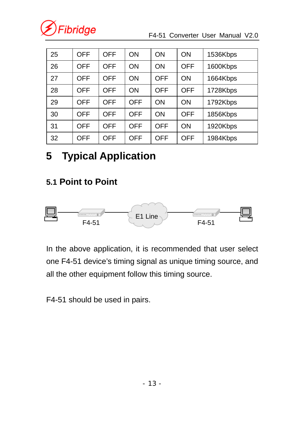

#### F4-51 Converter User Manual V2.0

| 25 | OFF        | <b>OFF</b> | OΝ         | OΝ         | <b>ON</b>  | 1536Kbps |
|----|------------|------------|------------|------------|------------|----------|
| 26 | OFF        | <b>OFF</b> | OΝ         | OΝ         | <b>OFF</b> | 1600Kbps |
| 27 | OFF        | <b>OFF</b> | OΝ         | OFF        | ON         | 1664Kbps |
| 28 | OFF        | <b>OFF</b> | OΝ         | <b>OFF</b> | <b>OFF</b> | 1728Kbps |
| 29 | OFF        | <b>OFF</b> | OFF        | OΝ         | <b>ON</b>  | 1792Kbps |
| 30 | OFF        | <b>OFF</b> | <b>OFF</b> | ON         | <b>OFF</b> | 1856Kbps |
| 31 | OFF        | OFF        | OFF        | OFF        | <b>ON</b>  | 1920Kbps |
| 32 | <b>OFF</b> | <b>OFF</b> | <b>OFF</b> | <b>OFF</b> | <b>OFF</b> | 1984Kbps |

# **5 Typical Application**

### **5.1 Point to Point**



In the above application, it is recommended that user select one F4-51 device's timing signal as unique timing source, and all the other equipment follow this timing source.

F4-51 should be used in pairs.